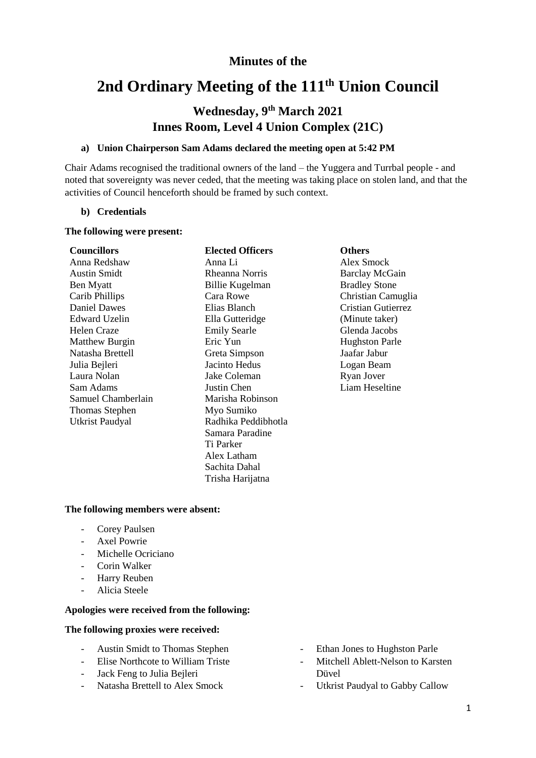# **Minutes of the**

# **2nd Ordinary Meeting of the 111 th Union Council**

# **Wednesday, 9 th March 2021 Innes Room, Level 4 Union Complex (21C)**

#### **a) Union Chairperson Sam Adams declared the meeting open at 5:42 PM**

Chair Adams recognised the traditional owners of the land – the Yuggera and Turrbal people - and noted that sovereignty was never ceded, that the meeting was taking place on stolen land, and that the activities of Council henceforth should be framed by such context.

#### **b) Credentials**

#### **The following were present:**

#### **Councillors Elected Officers Others** Anna Redshaw

Austin Smidt Ben Myatt Carib Phillips Daniel Dawes Edward Uzelin Helen Craze Matthew Burgin Natasha Brettell Julia Bejleri Laura Nolan Sam Adams Samuel Chamberlain Thomas Stephen Utkrist Paudyal

# Anna Li Rheanna Norris Billie Kugelman Cara Rowe Elias Blanch Ella Gutteridge Emily Searle Eric Yun Greta Simpson Jacinto Hedus Jake Coleman Justin Chen Marisha Robinson Myo Sumiko Radhika Peddibhotla Samara Paradine Ti Parker Alex Latham Sachita Dahal Trisha Harijatna

Alex Smock Barclay McGain Bradley Stone Christian Camuglia Cristian Gutierrez (Minute taker) Glenda Jacobs Hughston Parle Jaafar Jabur Logan Beam Ryan Jover Liam Heseltine

#### **The following members were absent:**

- Corey Paulsen
- Axel Powrie
- Michelle Ocriciano
- Corin Walker
- Harry Reuben
- Alicia Steele

# **Apologies were received from the following:**

#### **The following proxies were received:**

- Austin Smidt to Thomas Stephen
- Elise Northcote to William Triste
- Jack Feng to Julia Bejleri
- Natasha Brettell to Alex Smock
- Ethan Jones to Hughston Parle
- Mitchell Ablett-Nelson to Karsten Düvel
- Utkrist Paudyal to Gabby Callow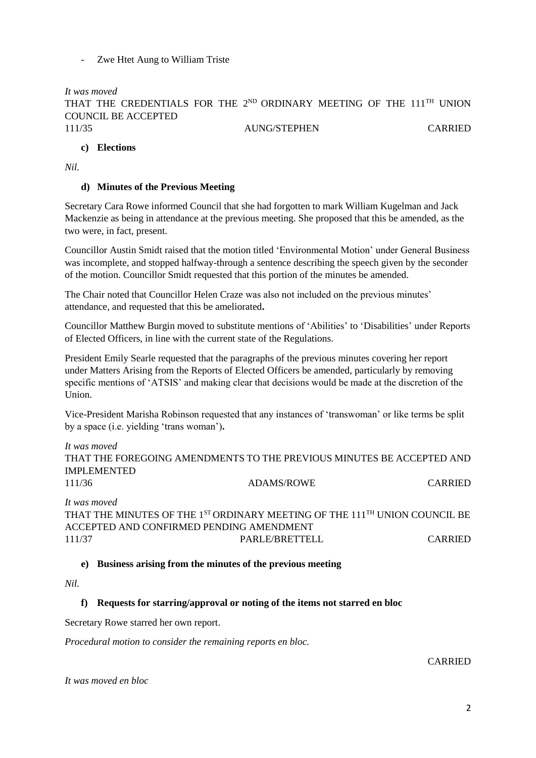Zwe Htet Aung to William Triste

*It was moved* THAT THE CREDENTIALS FOR THE  $2^{ND}$  ORDINARY MEETING OF THE  $111^{TH}$  UNION COUNCIL BE ACCEPTED 111/35 AUNG/STEPHEN CARRIED

# **c) Elections**

*Nil.*

# **d) Minutes of the Previous Meeting**

Secretary Cara Rowe informed Council that she had forgotten to mark William Kugelman and Jack Mackenzie as being in attendance at the previous meeting. She proposed that this be amended, as the two were, in fact, present.

Councillor Austin Smidt raised that the motion titled 'Environmental Motion' under General Business was incomplete, and stopped halfway-through a sentence describing the speech given by the seconder of the motion. Councillor Smidt requested that this portion of the minutes be amended.

The Chair noted that Councillor Helen Craze was also not included on the previous minutes' attendance, and requested that this be ameliorated**.**

Councillor Matthew Burgin moved to substitute mentions of 'Abilities' to 'Disabilities' under Reports of Elected Officers, in line with the current state of the Regulations.

President Emily Searle requested that the paragraphs of the previous minutes covering her report under Matters Arising from the Reports of Elected Officers be amended, particularly by removing specific mentions of 'ATSIS' and making clear that decisions would be made at the discretion of the Union.

Vice-President Marisha Robinson requested that any instances of 'transwoman' or like terms be split by a space (i.e. yielding 'trans woman')**.**

*It was moved*

THAT THE FOREGOING AMENDMENTS TO THE PREVIOUS MINUTES BE ACCEPTED AND IMPLEMENTED 111/36 ADAMS/ROWE CARRIED *It was moved* THAT THE MINUTES OF THE 1<sup>ST</sup> ORDINARY MEETING OF THE 111<sup>TH</sup> UNION COUNCIL BE ACCEPTED AND CONFIRMED PENDING AMENDMENT 111/37 PARLE/BRETTELL CARRIED

# **e) Business arising from the minutes of the previous meeting**

*Nil.*

# **f) Requests for starring/approval or noting of the items not starred en bloc**

Secretary Rowe starred her own report.

*Procedural motion to consider the remaining reports en bloc.*

CARRIED

*It was moved en bloc*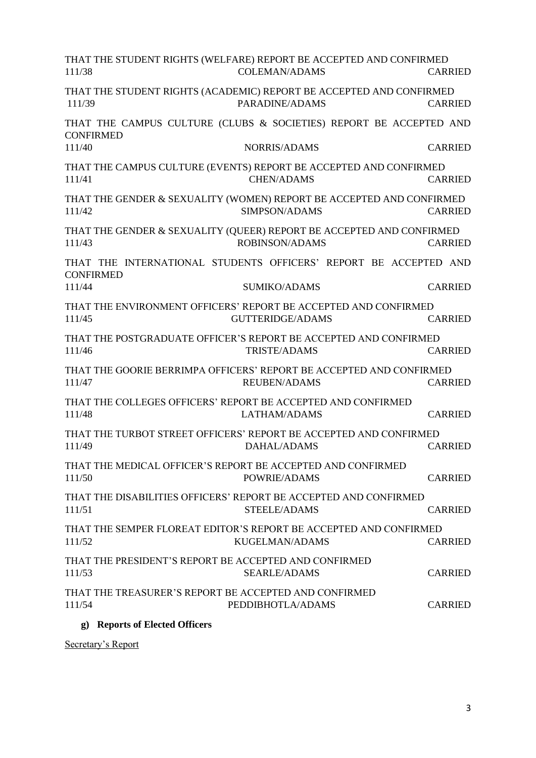| THAT THE STUDENT RIGHTS (WELFARE) REPORT BE ACCEPTED AND CONFIRMED<br>111/38           | <b>COLEMAN/ADAMS</b>    | <b>CARRIED</b> |
|----------------------------------------------------------------------------------------|-------------------------|----------------|
| THAT THE STUDENT RIGHTS (ACADEMIC) REPORT BE ACCEPTED AND CONFIRMED<br>111/39          | PARADINE/ADAMS          | <b>CARRIED</b> |
| THAT THE CAMPUS CULTURE (CLUBS & SOCIETIES) REPORT BE ACCEPTED AND<br><b>CONFIRMED</b> |                         |                |
| 111/40                                                                                 | <b>NORRIS/ADAMS</b>     | <b>CARRIED</b> |
| THAT THE CAMPUS CULTURE (EVENTS) REPORT BE ACCEPTED AND CONFIRMED<br>111/41            | <b>CHEN/ADAMS</b>       | <b>CARRIED</b> |
| THAT THE GENDER & SEXUALITY (WOMEN) REPORT BE ACCEPTED AND CONFIRMED<br>111/42         | SIMPSON/ADAMS           | <b>CARRIED</b> |
| THAT THE GENDER & SEXUALITY (QUEER) REPORT BE ACCEPTED AND CONFIRMED<br>111/43         | <b>ROBINSON/ADAMS</b>   | <b>CARRIED</b> |
| THAT THE INTERNATIONAL STUDENTS OFFICERS' REPORT BE ACCEPTED AND<br><b>CONFIRMED</b>   |                         |                |
| 111/44                                                                                 | <b>SUMIKO/ADAMS</b>     | <b>CARRIED</b> |
| THAT THE ENVIRONMENT OFFICERS' REPORT BE ACCEPTED AND CONFIRMED<br>111/45              | <b>GUTTERIDGE/ADAMS</b> | <b>CARRIED</b> |
| THAT THE POSTGRADUATE OFFICER'S REPORT BE ACCEPTED AND CONFIRMED<br>111/46             | <b>TRISTE/ADAMS</b>     | <b>CARRIED</b> |
| THAT THE GOORIE BERRIMPA OFFICERS' REPORT BE ACCEPTED AND CONFIRMED<br>111/47          | <b>REUBEN/ADAMS</b>     | <b>CARRIED</b> |
| THAT THE COLLEGES OFFICERS' REPORT BE ACCEPTED AND CONFIRMED<br>111/48                 | LATHAM/ADAMS            | <b>CARRIED</b> |
| THAT THE TURBOT STREET OFFICERS' REPORT BE ACCEPTED AND CONFIRMED<br>111/49            | <b>DAHAL/ADAMS</b>      | <b>CARRIED</b> |
| THAT THE MEDICAL OFFICER'S REPORT BE ACCEPTED AND CONFIRMED<br>111/50                  | POWRIE/ADAMS            | <b>CARRIED</b> |
| THAT THE DISABILITIES OFFICERS' REPORT BE ACCEPTED AND CONFIRMED<br>111/51             | STEELE/ADAMS            | <b>CARRIED</b> |
| THAT THE SEMPER FLOREAT EDITOR'S REPORT BE ACCEPTED AND CONFIRMED<br>111/52            | KUGELMAN/ADAMS          | <b>CARRIED</b> |
| THAT THE PRESIDENT'S REPORT BE ACCEPTED AND CONFIRMED<br>111/53                        | <b>SEARLE/ADAMS</b>     | <b>CARRIED</b> |
| THAT THE TREASURER'S REPORT BE ACCEPTED AND CONFIRMED<br>111/54                        | PEDDIBHOTLA/ADAMS       | <b>CARRIED</b> |
|                                                                                        |                         |                |

# **g) Reports of Elected Officers**

Secretary's Report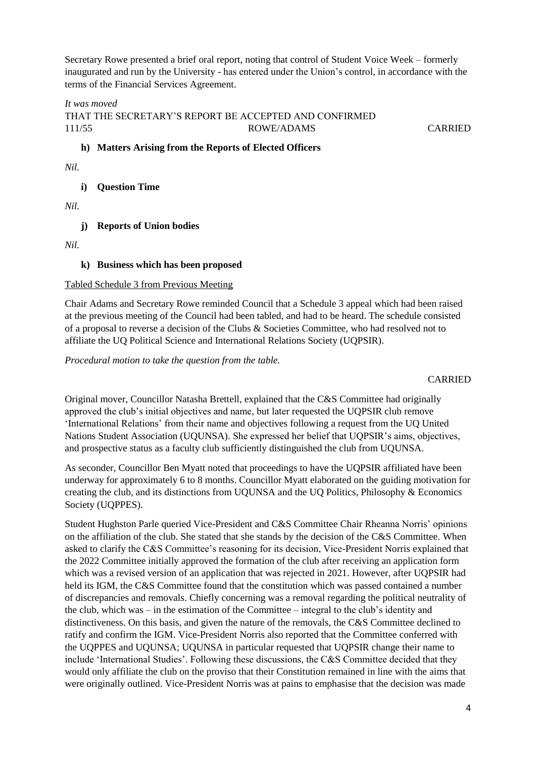Secretary Rowe presented a brief oral report, noting that control of Student Voice Week – formerly inaugurated and run by the University - has entered under the Union's control, in accordance with the terms of the Financial Services Agreement.

# *It was moved* THAT THE SECRETARY'S REPORT BE ACCEPTED AND CONFIRMED 111/55 ROWE/ADAMS CARRIED

# **h) Matters Arising from the Reports of Elected Officers**

*Nil.*

# **i) Question Time**

*Nil.*

# **j) Reports of Union bodies**

*Nil.* 

# **k) Business which has been proposed**

## Tabled Schedule 3 from Previous Meeting

Chair Adams and Secretary Rowe reminded Council that a Schedule 3 appeal which had been raised at the previous meeting of the Council had been tabled, and had to be heard. The schedule consisted of a proposal to reverse a decision of the Clubs & Societies Committee, who had resolved not to affiliate the UQ Political Science and International Relations Society (UQPSIR).

*Procedural motion to take the question from the table.*

## CARRIED

Original mover, Councillor Natasha Brettell, explained that the C&S Committee had originally approved the club's initial objectives and name, but later requested the UQPSIR club remove 'International Relations' from their name and objectives following a request from the UQ United Nations Student Association (UQUNSA). She expressed her belief that UQPSIR's aims, objectives, and prospective status as a faculty club sufficiently distinguished the club from UQUNSA.

As seconder, Councillor Ben Myatt noted that proceedings to have the UQPSIR affiliated have been underway for approximately 6 to 8 months. Councillor Myatt elaborated on the guiding motivation for creating the club, and its distinctions from UQUNSA and the UQ Politics, Philosophy & Economics Society (UQPPES).

Student Hughston Parle queried Vice-President and C&S Committee Chair Rheanna Norris' opinions on the affiliation of the club. She stated that she stands by the decision of the C&S Committee. When asked to clarify the C&S Committee's reasoning for its decision, Vice-President Norris explained that the 2022 Committee initially approved the formation of the club after receiving an application form which was a revised version of an application that was rejected in 2021. However, after UQPSIR had held its IGM, the C&S Committee found that the constitution which was passed contained a number of discrepancies and removals. Chiefly concerning was a removal regarding the political neutrality of the club, which was – in the estimation of the Committee – integral to the club's identity and distinctiveness. On this basis, and given the nature of the removals, the C&S Committee declined to ratify and confirm the IGM. Vice-President Norris also reported that the Committee conferred with the UQPPES and UQUNSA; UQUNSA in particular requested that UQPSIR change their name to include 'International Studies'. Following these discussions, the C&S Committee decided that they would only affiliate the club on the proviso that their Constitution remained in line with the aims that were originally outlined. Vice-President Norris was at pains to emphasise that the decision was made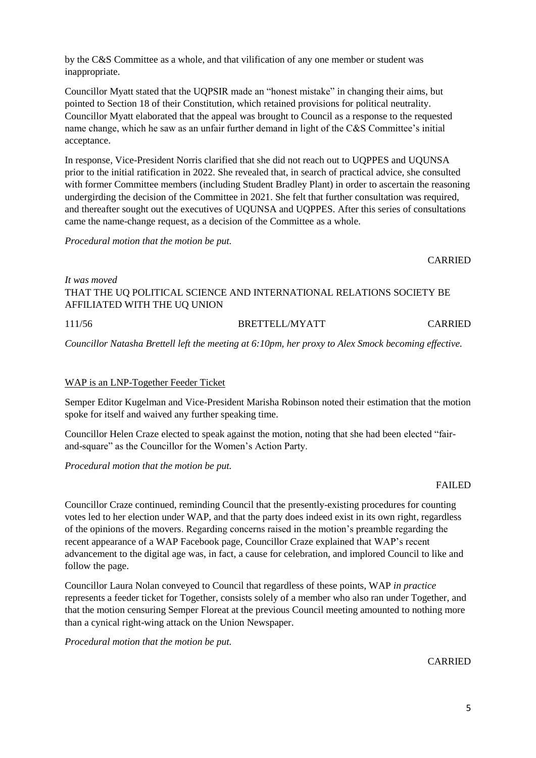by the C&S Committee as a whole, and that vilification of any one member or student was inappropriate.

Councillor Myatt stated that the UQPSIR made an "honest mistake" in changing their aims, but pointed to Section 18 of their Constitution, which retained provisions for political neutrality. Councillor Myatt elaborated that the appeal was brought to Council as a response to the requested name change, which he saw as an unfair further demand in light of the C&S Committee's initial acceptance.

In response, Vice-President Norris clarified that she did not reach out to UQPPES and UQUNSA prior to the initial ratification in 2022. She revealed that, in search of practical advice, she consulted with former Committee members (including Student Bradley Plant) in order to ascertain the reasoning undergirding the decision of the Committee in 2021. She felt that further consultation was required, and thereafter sought out the executives of UQUNSA and UQPPES. After this series of consultations came the name-change request, as a decision of the Committee as a whole.

*Procedural motion that the motion be put.*

# *It was moved* THAT THE UQ POLITICAL SCIENCE AND INTERNATIONAL RELATIONS SOCIETY BE AFFILIATED WITH THE UQ UNION

*Councillor Natasha Brettell left the meeting at 6:10pm, her proxy to Alex Smock becoming effective.*

## WAP is an LNP-Together Feeder Ticket

Semper Editor Kugelman and Vice-President Marisha Robinson noted their estimation that the motion spoke for itself and waived any further speaking time.

Councillor Helen Craze elected to speak against the motion, noting that she had been elected "fairand-square" as the Councillor for the Women's Action Party.

*Procedural motion that the motion be put.*

## FAILED

Councillor Craze continued, reminding Council that the presently-existing procedures for counting votes led to her election under WAP, and that the party does indeed exist in its own right, regardless of the opinions of the movers. Regarding concerns raised in the motion's preamble regarding the recent appearance of a WAP Facebook page, Councillor Craze explained that WAP's recent advancement to the digital age was, in fact, a cause for celebration, and implored Council to like and follow the page.

Councillor Laura Nolan conveyed to Council that regardless of these points, WAP *in practice* represents a feeder ticket for Together, consists solely of a member who also ran under Together, and that the motion censuring Semper Floreat at the previous Council meeting amounted to nothing more than a cynical right-wing attack on the Union Newspaper.

*Procedural motion that the motion be put.*

CARRIED

#### 111/56 BRETTELL/MYATT CARRIED

CARRIED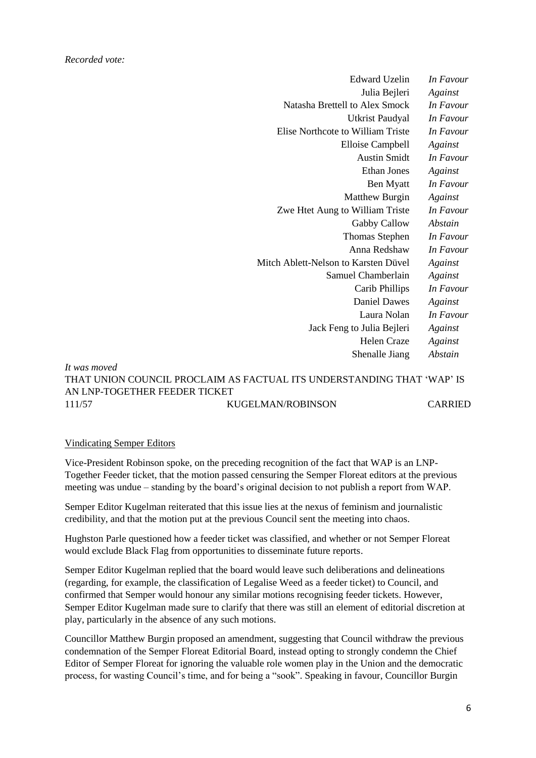| In Favour | <b>Edward Uzelin</b>                 |
|-----------|--------------------------------------|
| Against   | Julia Bejleri                        |
| In Favour | Natasha Brettell to Alex Smock       |
| In Favour | <b>Utkrist Paudyal</b>               |
| In Favour | Elise Northcote to William Triste    |
| Against   | <b>Elloise Campbell</b>              |
| In Favour | <b>Austin Smidt</b>                  |
| Against   | <b>Ethan Jones</b>                   |
| In Favour | <b>Ben Myatt</b>                     |
| Against   | <b>Matthew Burgin</b>                |
| In Favour | Zwe Htet Aung to William Triste      |
| Abstain   | Gabby Callow                         |
| In Favour | <b>Thomas Stephen</b>                |
| In Favour | Anna Redshaw                         |
| Against   | Mitch Ablett-Nelson to Karsten Düvel |
| Against   | Samuel Chamberlain                   |
| In Favour | Carib Phillips                       |
| Against   | <b>Daniel Dawes</b>                  |
| In Favour | Laura Nolan                          |
| Against   | Jack Feng to Julia Bejleri           |
| Against   | <b>Helen Craze</b>                   |
| Abstain   | Shenalle Jiang                       |
|           |                                      |

# *It was moved* THAT UNION COUNCIL PROCLAIM AS FACTUAL ITS UNDERSTANDING THAT 'WAP' IS AN LNP-TOGETHER FEEDER TICKET 111/57 KUGELMAN/ROBINSON CARRIED

## Vindicating Semper Editors

Vice-President Robinson spoke, on the preceding recognition of the fact that WAP is an LNP-Together Feeder ticket, that the motion passed censuring the Semper Floreat editors at the previous meeting was undue – standing by the board's original decision to not publish a report from WAP.

Semper Editor Kugelman reiterated that this issue lies at the nexus of feminism and journalistic credibility, and that the motion put at the previous Council sent the meeting into chaos.

Hughston Parle questioned how a feeder ticket was classified, and whether or not Semper Floreat would exclude Black Flag from opportunities to disseminate future reports.

Semper Editor Kugelman replied that the board would leave such deliberations and delineations (regarding, for example, the classification of Legalise Weed as a feeder ticket) to Council, and confirmed that Semper would honour any similar motions recognising feeder tickets. However, Semper Editor Kugelman made sure to clarify that there was still an element of editorial discretion at play, particularly in the absence of any such motions.

Councillor Matthew Burgin proposed an amendment, suggesting that Council withdraw the previous condemnation of the Semper Floreat Editorial Board, instead opting to strongly condemn the Chief Editor of Semper Floreat for ignoring the valuable role women play in the Union and the democratic process, for wasting Council's time, and for being a "sook". Speaking in favour, Councillor Burgin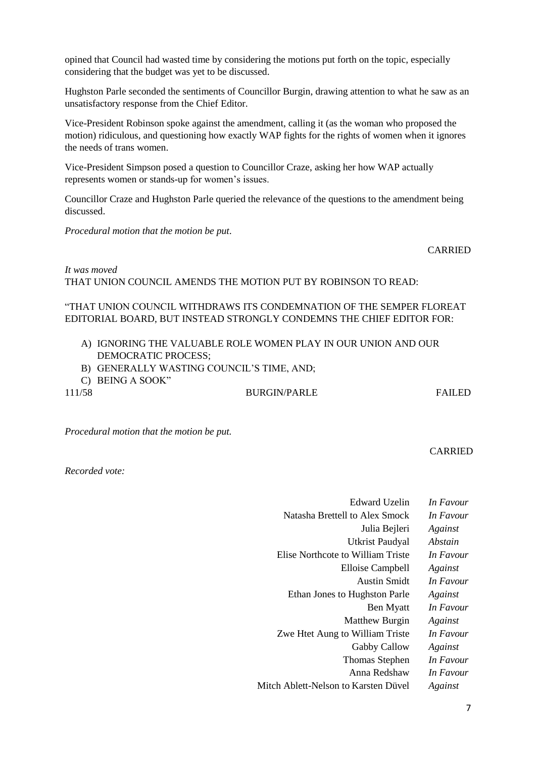opined that Council had wasted time by considering the motions put forth on the topic, especially considering that the budget was yet to be discussed.

Hughston Parle seconded the sentiments of Councillor Burgin, drawing attention to what he saw as an unsatisfactory response from the Chief Editor.

Vice-President Robinson spoke against the amendment, calling it (as the woman who proposed the motion) ridiculous, and questioning how exactly WAP fights for the rights of women when it ignores the needs of trans women.

Vice-President Simpson posed a question to Councillor Craze, asking her how WAP actually represents women or stands-up for women's issues.

Councillor Craze and Hughston Parle queried the relevance of the questions to the amendment being discussed.

*Procedural motion that the motion be put*.

CARRIED

*It was moved* THAT UNION COUNCIL AMENDS THE MOTION PUT BY ROBINSON TO READ:

# "THAT UNION COUNCIL WITHDRAWS ITS CONDEMNATION OF THE SEMPER FLOREAT EDITORIAL BOARD, BUT INSTEAD STRONGLY CONDEMNS THE CHIEF EDITOR FOR:

- A) IGNORING THE VALUABLE ROLE WOMEN PLAY IN OUR UNION AND OUR DEMOCRATIC PROCESS;
- B) GENERALLY WASTING COUNCIL'S TIME, AND;
- C) BEING A SOOK"

111/58 BURGIN/PARLE FAILED

*Procedural motion that the motion be put.*

CARRIED

*Recorded vote:*

| Edward Uzelin                        | In Favour |
|--------------------------------------|-----------|
| Natasha Brettell to Alex Smock       | In Favour |
| Julia Bejleri                        | Against   |
| <b>Utkrist Paudyal</b>               | Abstain   |
| Elise Northcote to William Triste    | In Favour |
| Elloise Campbell                     | Against   |
| <b>Austin Smidt</b>                  | In Favour |
| Ethan Jones to Hughston Parle        | Against   |
| Ben Myatt                            | In Favour |
| <b>Matthew Burgin</b>                | Against   |
| Zwe Htet Aung to William Triste      | In Favour |
| Gabby Callow                         | Against   |
| <b>Thomas Stephen</b>                | In Favour |
| Anna Redshaw                         | In Favour |
| Mitch Ablett-Nelson to Karsten Düvel | Against   |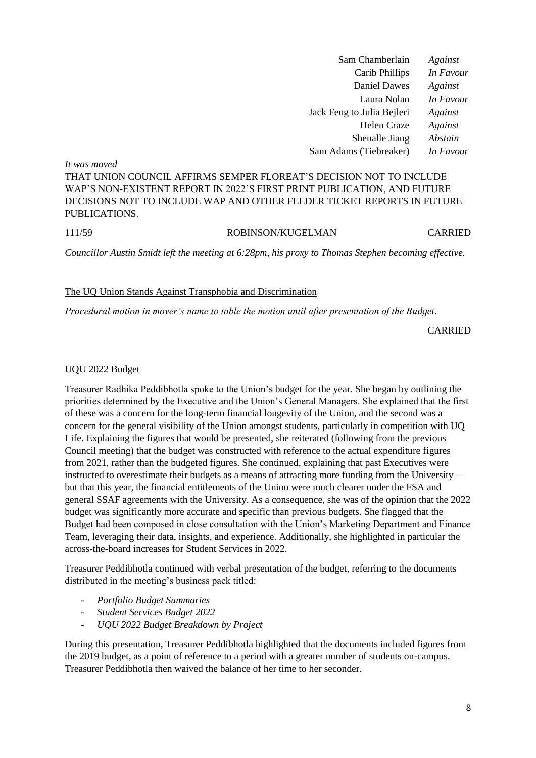| Sam Chamberlain            | Against   |
|----------------------------|-----------|
| Carib Phillips             | In Favour |
| Daniel Dawes               | Against   |
| Laura Nolan                | In Favour |
| Jack Feng to Julia Bejleri | Against   |
| Helen Craze                | Against   |
| Shenalle Jiang             | Abstain   |
| Sam Adams (Tiebreaker)     | In Favour |

*It was moved* THAT UNION COUNCIL AFFIRMS SEMPER FLOREAT'S DECISION NOT TO INCLUDE WAP'S NON-EXISTENT REPORT IN 2022'S FIRST PRINT PUBLICATION, AND FUTURE DECISIONS NOT TO INCLUDE WAP AND OTHER FEEDER TICKET REPORTS IN FUTURE PUBLICATIONS.

# 111/59 ROBINSON/KUGELMAN CARRIED

*Councillor Austin Smidt left the meeting at 6:28pm, his proxy to Thomas Stephen becoming effective.*

#### The UQ Union Stands Against Transphobia and Discrimination

*Procedural motion in mover's name to table the motion until after presentation of the Budget.*

CARRIED

#### UQU 2022 Budget

Treasurer Radhika Peddibhotla spoke to the Union's budget for the year. She began by outlining the priorities determined by the Executive and the Union's General Managers. She explained that the first of these was a concern for the long-term financial longevity of the Union, and the second was a concern for the general visibility of the Union amongst students, particularly in competition with UQ Life. Explaining the figures that would be presented, she reiterated (following from the previous Council meeting) that the budget was constructed with reference to the actual expenditure figures from 2021, rather than the budgeted figures. She continued, explaining that past Executives were instructed to overestimate their budgets as a means of attracting more funding from the University – but that this year, the financial entitlements of the Union were much clearer under the FSA and general SSAF agreements with the University. As a consequence, she was of the opinion that the 2022 budget was significantly more accurate and specific than previous budgets. She flagged that the Budget had been composed in close consultation with the Union's Marketing Department and Finance Team, leveraging their data, insights, and experience. Additionally, she highlighted in particular the across-the-board increases for Student Services in 2022.

Treasurer Peddibhotla continued with verbal presentation of the budget, referring to the documents distributed in the meeting's business pack titled:

- *Portfolio Budget Summaries*
- *Student Services Budget 2022*
- *UQU 2022 Budget Breakdown by Project*

During this presentation, Treasurer Peddibhotla highlighted that the documents included figures from the 2019 budget, as a point of reference to a period with a greater number of students on-campus. Treasurer Peddibhotla then waived the balance of her time to her seconder.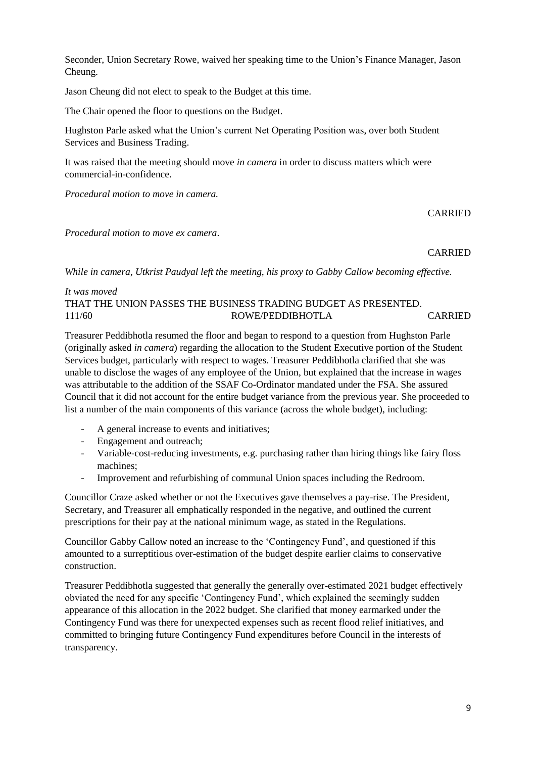Seconder, Union Secretary Rowe, waived her speaking time to the Union's Finance Manager, Jason Cheung.

Jason Cheung did not elect to speak to the Budget at this time.

The Chair opened the floor to questions on the Budget.

Hughston Parle asked what the Union's current Net Operating Position was, over both Student Services and Business Trading.

It was raised that the meeting should move *in camera* in order to discuss matters which were commercial-in-confidence.

*Procedural motion to move in camera.*

**CARRIED** 

*Procedural motion to move ex camera*.

CARRIED

*While in camera, Utkrist Paudyal left the meeting, his proxy to Gabby Callow becoming effective.*

# *It was moved* THAT THE UNION PASSES THE BUSINESS TRADING BUDGET AS PRESENTED. 111/60 ROWE/PEDDIBHOTLA CARRIED

Treasurer Peddibhotla resumed the floor and began to respond to a question from Hughston Parle (originally asked *in camera*) regarding the allocation to the Student Executive portion of the Student Services budget, particularly with respect to wages. Treasurer Peddibhotla clarified that she was unable to disclose the wages of any employee of the Union, but explained that the increase in wages was attributable to the addition of the SSAF Co-Ordinator mandated under the FSA. She assured Council that it did not account for the entire budget variance from the previous year. She proceeded to list a number of the main components of this variance (across the whole budget), including:

- A general increase to events and initiatives;
- Engagement and outreach;
- Variable-cost-reducing investments, e.g. purchasing rather than hiring things like fairy floss machines;
- Improvement and refurbishing of communal Union spaces including the Redroom.

Councillor Craze asked whether or not the Executives gave themselves a pay-rise. The President, Secretary, and Treasurer all emphatically responded in the negative, and outlined the current prescriptions for their pay at the national minimum wage, as stated in the Regulations.

Councillor Gabby Callow noted an increase to the 'Contingency Fund', and questioned if this amounted to a surreptitious over-estimation of the budget despite earlier claims to conservative construction.

Treasurer Peddibhotla suggested that generally the generally over-estimated 2021 budget effectively obviated the need for any specific 'Contingency Fund', which explained the seemingly sudden appearance of this allocation in the 2022 budget. She clarified that money earmarked under the Contingency Fund was there for unexpected expenses such as recent flood relief initiatives, and committed to bringing future Contingency Fund expenditures before Council in the interests of transparency.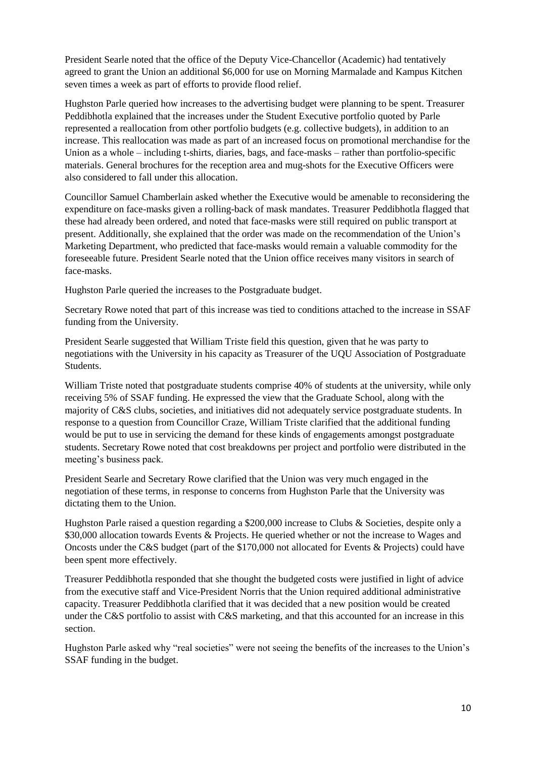President Searle noted that the office of the Deputy Vice-Chancellor (Academic) had tentatively agreed to grant the Union an additional \$6,000 for use on Morning Marmalade and Kampus Kitchen seven times a week as part of efforts to provide flood relief.

Hughston Parle queried how increases to the advertising budget were planning to be spent. Treasurer Peddibhotla explained that the increases under the Student Executive portfolio quoted by Parle represented a reallocation from other portfolio budgets (e.g. collective budgets), in addition to an increase. This reallocation was made as part of an increased focus on promotional merchandise for the Union as a whole – including t-shirts, diaries, bags, and face-masks – rather than portfolio-specific materials. General brochures for the reception area and mug-shots for the Executive Officers were also considered to fall under this allocation.

Councillor Samuel Chamberlain asked whether the Executive would be amenable to reconsidering the expenditure on face-masks given a rolling-back of mask mandates. Treasurer Peddibhotla flagged that these had already been ordered, and noted that face-masks were still required on public transport at present. Additionally, she explained that the order was made on the recommendation of the Union's Marketing Department, who predicted that face-masks would remain a valuable commodity for the foreseeable future. President Searle noted that the Union office receives many visitors in search of face-masks.

Hughston Parle queried the increases to the Postgraduate budget.

Secretary Rowe noted that part of this increase was tied to conditions attached to the increase in SSAF funding from the University.

President Searle suggested that William Triste field this question, given that he was party to negotiations with the University in his capacity as Treasurer of the UQU Association of Postgraduate Students.

William Triste noted that postgraduate students comprise 40% of students at the university, while only receiving 5% of SSAF funding. He expressed the view that the Graduate School, along with the majority of C&S clubs, societies, and initiatives did not adequately service postgraduate students. In response to a question from Councillor Craze, William Triste clarified that the additional funding would be put to use in servicing the demand for these kinds of engagements amongst postgraduate students. Secretary Rowe noted that cost breakdowns per project and portfolio were distributed in the meeting's business pack.

President Searle and Secretary Rowe clarified that the Union was very much engaged in the negotiation of these terms, in response to concerns from Hughston Parle that the University was dictating them to the Union.

Hughston Parle raised a question regarding a \$200,000 increase to Clubs & Societies, despite only a \$30,000 allocation towards Events & Projects. He queried whether or not the increase to Wages and Oncosts under the C&S budget (part of the \$170,000 not allocated for Events & Projects) could have been spent more effectively.

Treasurer Peddibhotla responded that she thought the budgeted costs were justified in light of advice from the executive staff and Vice-President Norris that the Union required additional administrative capacity. Treasurer Peddibhotla clarified that it was decided that a new position would be created under the C&S portfolio to assist with C&S marketing, and that this accounted for an increase in this section.

Hughston Parle asked why "real societies" were not seeing the benefits of the increases to the Union's SSAF funding in the budget.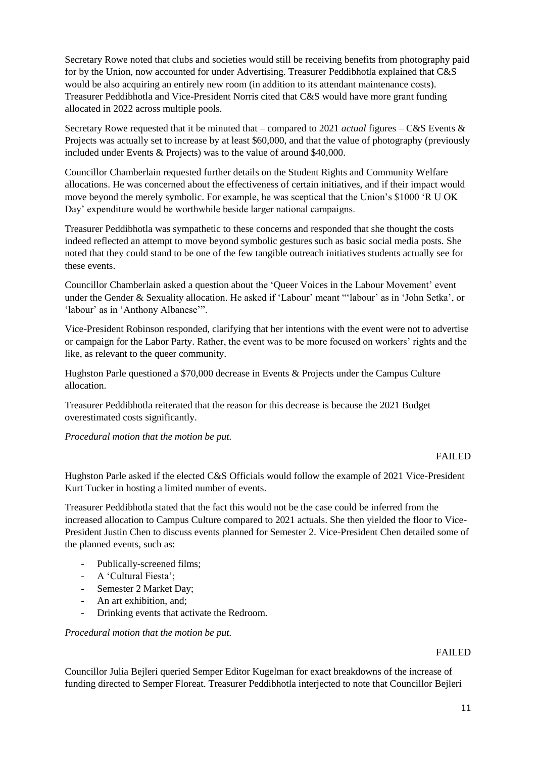Secretary Rowe noted that clubs and societies would still be receiving benefits from photography paid for by the Union, now accounted for under Advertising. Treasurer Peddibhotla explained that C&S would be also acquiring an entirely new room (in addition to its attendant maintenance costs). Treasurer Peddibhotla and Vice-President Norris cited that C&S would have more grant funding allocated in 2022 across multiple pools.

Secretary Rowe requested that it be minuted that – compared to 2021 *actual* figures – C&S Events & Projects was actually set to increase by at least \$60,000, and that the value of photography (previously included under Events & Projects) was to the value of around \$40,000.

Councillor Chamberlain requested further details on the Student Rights and Community Welfare allocations. He was concerned about the effectiveness of certain initiatives, and if their impact would move beyond the merely symbolic. For example, he was sceptical that the Union's \$1000 'R U OK Day' expenditure would be worthwhile beside larger national campaigns.

Treasurer Peddibhotla was sympathetic to these concerns and responded that she thought the costs indeed reflected an attempt to move beyond symbolic gestures such as basic social media posts. She noted that they could stand to be one of the few tangible outreach initiatives students actually see for these events.

Councillor Chamberlain asked a question about the 'Queer Voices in the Labour Movement' event under the Gender & Sexuality allocation. He asked if 'Labour' meant "'labour' as in 'John Setka', or 'labour' as in 'Anthony Albanese'".

Vice-President Robinson responded, clarifying that her intentions with the event were not to advertise or campaign for the Labor Party. Rather, the event was to be more focused on workers' rights and the like, as relevant to the queer community.

Hughston Parle questioned a \$70,000 decrease in Events & Projects under the Campus Culture allocation.

Treasurer Peddibhotla reiterated that the reason for this decrease is because the 2021 Budget overestimated costs significantly.

*Procedural motion that the motion be put.*

## FAILED

Hughston Parle asked if the elected C&S Officials would follow the example of 2021 Vice-President Kurt Tucker in hosting a limited number of events.

Treasurer Peddibhotla stated that the fact this would not be the case could be inferred from the increased allocation to Campus Culture compared to 2021 actuals. She then yielded the floor to Vice-President Justin Chen to discuss events planned for Semester 2. Vice-President Chen detailed some of the planned events, such as:

- Publically-screened films;
- A 'Cultural Fiesta';
- Semester 2 Market Day;
- An art exhibition, and;
- Drinking events that activate the Redroom.

*Procedural motion that the motion be put.*

#### FAILED

Councillor Julia Bejleri queried Semper Editor Kugelman for exact breakdowns of the increase of funding directed to Semper Floreat. Treasurer Peddibhotla interjected to note that Councillor Bejleri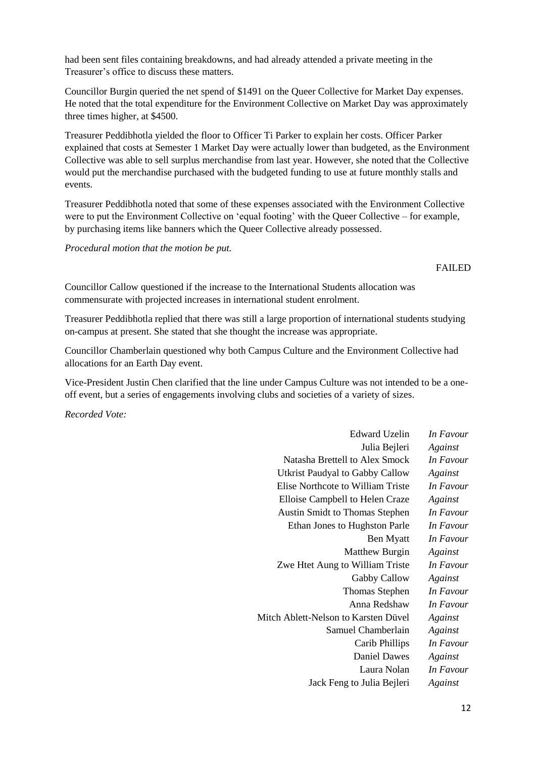had been sent files containing breakdowns, and had already attended a private meeting in the Treasurer's office to discuss these matters.

Councillor Burgin queried the net spend of \$1491 on the Queer Collective for Market Day expenses. He noted that the total expenditure for the Environment Collective on Market Day was approximately three times higher, at \$4500.

Treasurer Peddibhotla yielded the floor to Officer Ti Parker to explain her costs. Officer Parker explained that costs at Semester 1 Market Day were actually lower than budgeted, as the Environment Collective was able to sell surplus merchandise from last year. However, she noted that the Collective would put the merchandise purchased with the budgeted funding to use at future monthly stalls and events.

Treasurer Peddibhotla noted that some of these expenses associated with the Environment Collective were to put the Environment Collective on 'equal footing' with the Queer Collective – for example, by purchasing items like banners which the Queer Collective already possessed.

*Procedural motion that the motion be put.*

#### FAILED

Councillor Callow questioned if the increase to the International Students allocation was commensurate with projected increases in international student enrolment.

Treasurer Peddibhotla replied that there was still a large proportion of international students studying on-campus at present. She stated that she thought the increase was appropriate.

Councillor Chamberlain questioned why both Campus Culture and the Environment Collective had allocations for an Earth Day event.

Vice-President Justin Chen clarified that the line under Campus Culture was not intended to be a oneoff event, but a series of engagements involving clubs and societies of a variety of sizes.

*Recorded Vote:*

| <b>Edward Uzelin</b>                   | In Favour |
|----------------------------------------|-----------|
| Julia Bejleri                          | Against   |
| Natasha Brettell to Alex Smock         | In Favour |
| <b>Utkrist Paudyal to Gabby Callow</b> | Against   |
| Elise Northcote to William Triste      | In Favour |
| Elloise Campbell to Helen Craze        | Against   |
| <b>Austin Smidt to Thomas Stephen</b>  | In Favour |
| Ethan Jones to Hughston Parle          | In Favour |
| Ben Myatt                              | In Favour |
| <b>Matthew Burgin</b>                  | Against   |
| Zwe Htet Aung to William Triste        | In Favour |
| Gabby Callow                           | Against   |
| <b>Thomas Stephen</b>                  | In Favour |
| Anna Redshaw                           | In Favour |
| Mitch Ablett-Nelson to Karsten Düvel   | Against   |
| Samuel Chamberlain                     | Against   |
| Carib Phillips                         | In Favour |
| <b>Daniel Dawes</b>                    | Against   |
| Laura Nolan                            | In Favour |
| Jack Feng to Julia Bejleri             | Against   |
|                                        |           |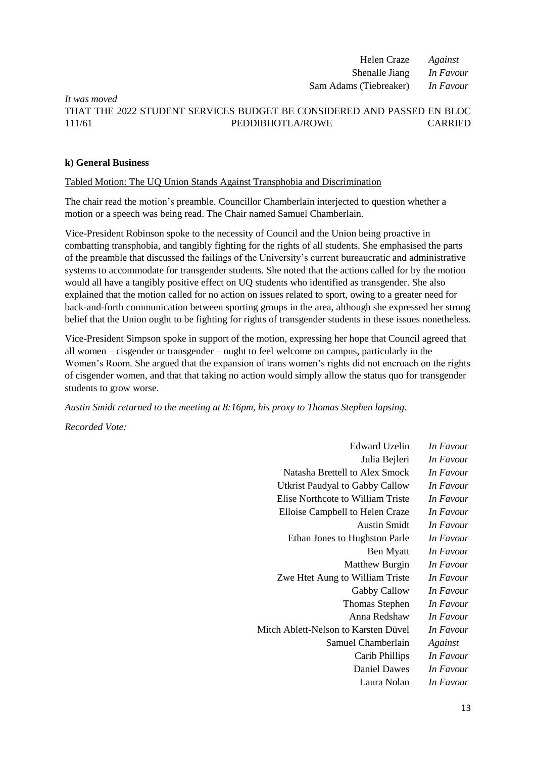Helen Craze *Against* Shenalle Jiang *In Favour* Sam Adams (Tiebreaker) *In Favour*

# *It was moved* THAT THE 2022 STUDENT SERVICES BUDGET BE CONSIDERED AND PASSED EN BLOC 111/61 PEDDIBHOTLA/ROWE CARRIED

# **k) General Business**

## Tabled Motion: The UQ Union Stands Against Transphobia and Discrimination

The chair read the motion's preamble. Councillor Chamberlain interjected to question whether a motion or a speech was being read. The Chair named Samuel Chamberlain.

Vice-President Robinson spoke to the necessity of Council and the Union being proactive in combatting transphobia, and tangibly fighting for the rights of all students. She emphasised the parts of the preamble that discussed the failings of the University's current bureaucratic and administrative systems to accommodate for transgender students. She noted that the actions called for by the motion would all have a tangibly positive effect on UQ students who identified as transgender. She also explained that the motion called for no action on issues related to sport, owing to a greater need for back-and-forth communication between sporting groups in the area, although she expressed her strong belief that the Union ought to be fighting for rights of transgender students in these issues nonetheless.

Vice-President Simpson spoke in support of the motion, expressing her hope that Council agreed that all women – cisgender or transgender – ought to feel welcome on campus, particularly in the Women's Room. She argued that the expansion of trans women's rights did not encroach on the rights of cisgender women, and that that taking no action would simply allow the status quo for transgender students to grow worse.

*Austin Smidt returned to the meeting at 8:16pm, his proxy to Thomas Stephen lapsing.*

*Recorded Vote:*

| <b>Edward Uzelin</b>                 | In Favour |
|--------------------------------------|-----------|
| Julia Bejleri                        | In Favour |
| Natasha Brettell to Alex Smock       | In Favour |
| Utkrist Paudyal to Gabby Callow      | In Favour |
| Elise Northcote to William Triste    | In Favour |
| Elloise Campbell to Helen Craze      | In Favour |
| <b>Austin Smidt</b>                  | In Favour |
| Ethan Jones to Hughston Parle        | In Favour |
| Ben Myatt                            | In Favour |
| Matthew Burgin                       | In Favour |
| Zwe Htet Aung to William Triste      | In Favour |
| Gabby Callow                         | In Favour |
| <b>Thomas Stephen</b>                | In Favour |
| Anna Redshaw                         | In Favour |
| Mitch Ablett-Nelson to Karsten Düvel | In Favour |
| Samuel Chamberlain                   | Against   |
| Carib Phillips                       | In Favour |
| Daniel Dawes                         | In Favour |
| Laura Nolan                          | In Favour |
|                                      |           |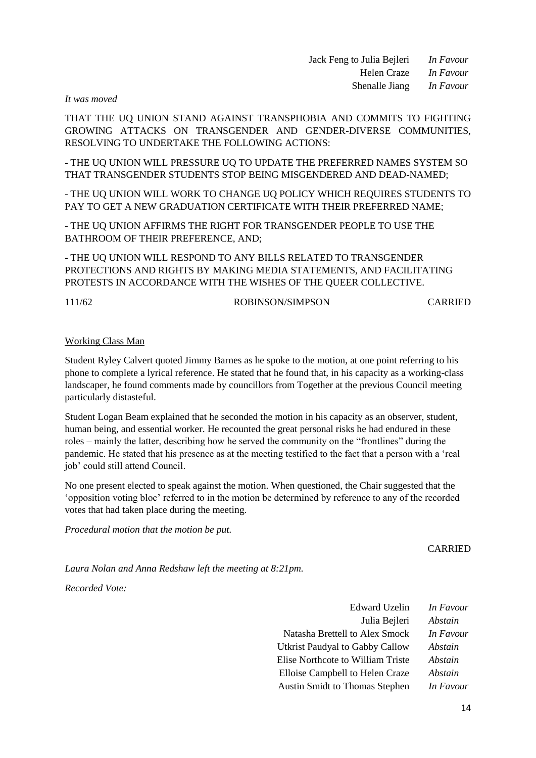Jack Feng to Julia Bejleri *In Favour* Helen Craze *In Favour* Shenalle Jiang *In Favour*

*It was moved*

THAT THE UQ UNION STAND AGAINST TRANSPHOBIA AND COMMITS TO FIGHTING GROWING ATTACKS ON TRANSGENDER AND GENDER-DIVERSE COMMUNITIES, RESOLVING TO UNDERTAKE THE FOLLOWING ACTIONS:

- THE UQ UNION WILL PRESSURE UQ TO UPDATE THE PREFERRED NAMES SYSTEM SO THAT TRANSGENDER STUDENTS STOP BEING MISGENDERED AND DEAD-NAMED;

- THE UQ UNION WILL WORK TO CHANGE UQ POLICY WHICH REQUIRES STUDENTS TO PAY TO GET A NEW GRADUATION CERTIFICATE WITH THEIR PREFERRED NAME;

- THE UQ UNION AFFIRMS THE RIGHT FOR TRANSGENDER PEOPLE TO USE THE BATHROOM OF THEIR PREFERENCE, AND;

- THE UQ UNION WILL RESPOND TO ANY BILLS RELATED TO TRANSGENDER PROTECTIONS AND RIGHTS BY MAKING MEDIA STATEMENTS, AND FACILITATING PROTESTS IN ACCORDANCE WITH THE WISHES OF THE QUEER COLLECTIVE.

#### 111/62 ROBINSON/SIMPSON CARRIED

#### Working Class Man

Student Ryley Calvert quoted Jimmy Barnes as he spoke to the motion, at one point referring to his phone to complete a lyrical reference. He stated that he found that, in his capacity as a working-class landscaper, he found comments made by councillors from Together at the previous Council meeting particularly distasteful.

Student Logan Beam explained that he seconded the motion in his capacity as an observer, student, human being, and essential worker. He recounted the great personal risks he had endured in these roles – mainly the latter, describing how he served the community on the "frontlines" during the pandemic. He stated that his presence as at the meeting testified to the fact that a person with a 'real job' could still attend Council.

No one present elected to speak against the motion. When questioned, the Chair suggested that the 'opposition voting bloc' referred to in the motion be determined by reference to any of the recorded votes that had taken place during the meeting.

*Procedural motion that the motion be put.*

#### CARRIED

*Laura Nolan and Anna Redshaw left the meeting at 8:21pm.*

*Recorded Vote:*

| <b>Edward Uzelin</b>                     | In Favour |
|------------------------------------------|-----------|
| Julia Bejleri                            | Abstain   |
| Natasha Brettell to Alex Smock           | In Favour |
| Utkrist Paudyal to Gabby Callow          | Abstain   |
| <b>Elise Northcote to William Triste</b> | Abstain   |
| Elloise Campbell to Helen Craze          | Abstain   |
| <b>Austin Smidt to Thomas Stephen</b>    | In Favour |